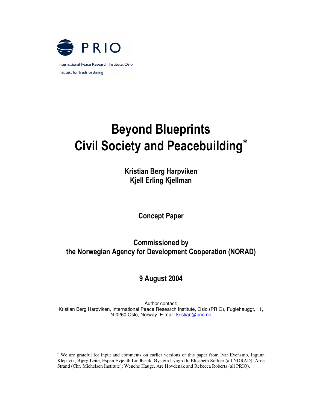

# **Beyond Blueprints Civil Society and Peacebuilding\***

Kristian Berg Harpviker **Kjell Erling Kjellman** 

**Concept Paper** 

**Commissioned by** the Norwegian Agency for Development Cooperation (NORAD)

## 9 August 2004

Author contact: Kristian Berg Harpviken, International Peace Research Institute, Oslo (PRIO), Fuglehauggt, 11, N-0260 Oslo, Norway. E-mail: kristian@prio.no

We are grateful for input and comments on earlier versions of this paper from Ivar Evensmo, Ingunn Klepsvik, Bjørg Leite, Espen Evjenth Lindbæck, Øystein Lyngroth, Elisabeth Sollner (all NORAD); Arne Strand (Chr. Michelsen Institute); Wenche Hauge, Are Hovdenak and Rebecca Roberts (all PRIO).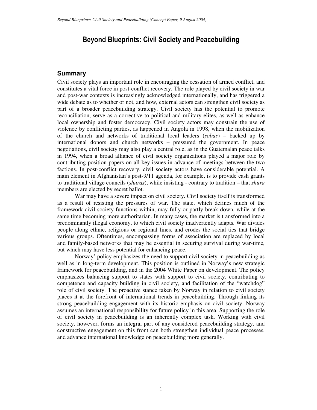## Beyond Blueprints: Civil Society and Peacebuilding

#### **Summary**

Civil society plays an important role in encouraging the cessation of armed conflict, and constitutes a vital force in post-conflict recovery. The role played by civil society in war and post-war contexts is increasingly acknowledged internationally, and has triggered a wide debate as to whether or not, and how, external actors can strengthen civil society as part of a broader peacebuilding strategy. Civil society has the potential to promote reconciliation, serve as a corrective to political and military elites, as well as enhance local ownership and foster democracy. Civil society actors may constrain the use of violence by conflicting parties, as happened in Angola in 1998, when the mobilization of the church and networks of traditional local leaders (*sobas*) – backed up by international donors and church networks – pressured the government. In peace negotiations, civil society may also play a central role, as in the Guatemalan peace talks in 1994, when a broad alliance of civil society organizations played a major role by contributing position papers on all key issues in advance of meetings between the two factions. In post-conflict recovery, civil society actors have considerable potential. A main element in Afghanistan's post-9/11 agenda, for example, is to provide cash grants to traditional village councils (*shuras*), while insisting - contrary to tradition – that *shura* members are elected by secret ballot.

War may have a severe impact on civil society. Civil society itself is transformed as a result of resisting the pressures of war. The state, which defines much of the framework civil society functions within, may fully or partly break down, while at the same time becoming more authoritarian. In many cases, the market is transformed into a predominantly illegal economy, to which civil society inadvertently adapts. War divides people along ethnic, religious or regional lines, and erodes the social ties that bridge various groups. Oftentimes, encompassing forms of association are replaced by local and family-based networks that may be essential in securing survival during war-time, but which may have less potential for enhancing peace.

Norway' policy emphasizes the need to support civil society in peacebuilding as well as in long-term development. This position is outlined in Norway's new strategic framework for peacebuilding, and in the 2004 White Paper on development. The policy emphasizes balancing support to states with support to civil society, contributing to competence and capacity building in civil society, and facilitation of the "watchdog" role of civil society. The proactive stance taken by Norway in relation to civil society places it at the forefront of international trends in peacebuilding. Through linking its strong peacebuilding engagement with its historic emphasis on civil society, Norway assumes an international responsibility for future policy in this area. Supporting the role of civil society in peacebuilding is an inherently complex task. Working with civil society, however, forms an integral part of any considered peacebuilding strategy, and constructive engagement on this front can both strengthen individual peace processes, and advance international knowledge on peacebuilding more generally.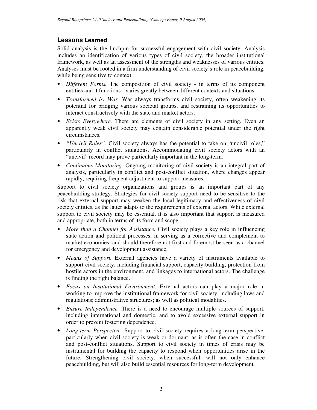## **Lessons Learned**

Solid analysis is the linchpin for successful engagement with civil society. Analysis includes an identification of various types of civil society, the broader institutional framework, as well as an assessment of the strengths and weaknesses of various entities. Analyses must be rooted in a firm understanding of civil society's role in peacebuilding, while being sensitive to context.

- *Different Forms.* The composition of civil society in terms of its component entities and it functions - varies greatly between different contexts and situations.
- *Transformed by War.* War always transforms civil society, often weakening its potential for bridging various societal groups, and restraining its opportunities to interact constructively with the state and market actors.
- *Exists Everywhere.* There are elements of civil society in any setting. Even an apparently weak civil society may contain considerable potential under the right circumstances.
- *"Uncivil Roles".* Civil society always has the potential to take on "uncivil roles," particularly in conflict situations. Accommodating civil society actors with an "uncivil" record may prove particularly important in the long-term.
- *Continuous Monitoring.* Ongoing monitoring of civil society is an integral part of analysis, particularly in conflict and post-conflict situation, where changes appear rapidly, requiring frequent adjustment to support measures.

Support to civil society organizations and groups is an important part of any peacebuilding strategy. Strategies for civil society support need to be sensitive to the risk that external support may weaken the local legitimacy and effectiveness of civil society entities, as the latter adapts to the requirements of external actors. While external support to civil society may be essential, it is also important that support is measured and appropriate, both in terms of its form and scope.

- *More than a Channel for Assistance.* Civil society plays a key role in influencing state action and political processes, in serving as a corrective and complement to market economies, and should therefore not first and foremost be seen as a channel for emergency and development assistance.
- *Means of Support.* External agencies have a variety of instruments available to support civil society, including financial support, capacity-building, protection from hostile actors in the environment, and linkages to international actors. The challenge is finding the right balance.
- *Focus on Institutional Environment.* External actors can play a major role in working to improve the institutional framework for civil society, including laws and regulations; administrative structures; as well as political modalities.
- *Ensure Independence.* There is a need to encourage multiple sources of support, including international and domestic, and to avoid excessive external support in order to prevent fostering dependence.
- *Long-term Perspective*. Support to civil society requires a long-term perspective, particularly when civil society is weak or dormant, as is often the case in conflict and post-conflict situations. Support to civil society in times of crisis may be instrumental for building the capacity to respond when opportunities arise in the future. Strengthening civil society, when successful, will not only enhance peacebuilding, but will also build essential resources for long-term development.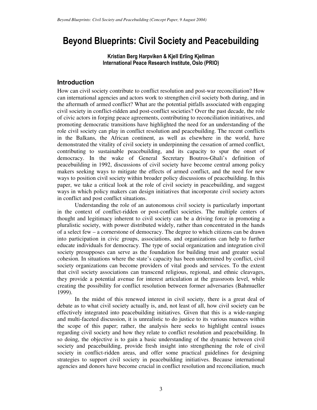# Beyond Blueprints: Civil Society and Peacebuilding

Kristian Berg Harpviken & Kjell Erling Kjellmar International Peace Research Institute, Oslo (PRIO)

## **Introduction**

How can civil society contribute to conflict resolution and post-war reconciliation? How can international agencies and actors work to strengthen civil society both during, and in the aftermath of armed conflict? What are the potential pitfalls associated with engaging civil society in conflict-ridden and post-conflict societies? Over the past decade, the role of civic actors in forging peace agreements, contributing to reconciliation initiatives, and promoting democratic transitions have highlighted the need for an understanding of the role civil society can play in conflict resolution and peacebuilding. The recent conflicts in the Balkans, the African continent, as well as elsewhere in the world, have demonstrated the vitality of civil society in underpinning the cessation of armed conflict, contributing to sustainable peacebuilding, and its capacity to spur the onset of democracy. In the wake of General Secretary Boutros-Ghali's definition of peacebuilding in 1992, discussions of civil society have become central among policy makers seeking ways to mitigate the effects of armed conflict, and the need for new ways to position civil society within broader policy discussions of peacebuilding. In this paper, we take a critical look at the role of civil society in peacebuilding, and suggest ways in which policy makers can design initiatives that incorporate civil society actors in conflict and post conflict situations.

Understanding the role of an autonomous civil society is particularly important in the context of conflict-ridden or post-conflict societies. The multiple centers of thought and legitimacy inherent to civil society can be a driving force in promoting a pluralistic society, with power distributed widely, rather than concentrated in the hands of a select few – a cornerstone of democracy. The degree to which citizens can be drawn into participation in civic groups, associations, and organizations can help to further educate individuals for democracy. The type of social organization and integration civil society presupposes can serve as the foundation for building trust and greater social cohesion. In situations where the state's capacity has been undermined by conflict, civil society organizations can become providers of vital goods and services. To the extent that civil society associations can transcend religious, regional, and ethnic cleavages, they provide a potential avenue for interest articulation at the grassroots level, while creating the possibility for conflict resolution between former adversaries (Bahmueller 1999).

In the midst of this renewed interest in civil society, there is a great deal of debate as to what civil society actually is, and, not least of all, how civil society can be effectively integrated into peacebuilding initiatives. Given that this is a wide-ranging and multi-faceted discussion, it is unrealistic to do justice to its various nuances within the scope of this paper; rather, the analysis here seeks to highlight central issues regarding civil society and how they relate to conflict resolution and peacebuilding. In so doing, the objective is to gain a basic understanding of the dynamic between civil society and peacebuilding, provide fresh insight into strengthening the role of civil society in conflict-ridden areas, and offer some practical guidelines for designing strategies to support civil society in peacebuilding initiatives. Because international agencies and donors have become crucial in conflict resolution and reconciliation, much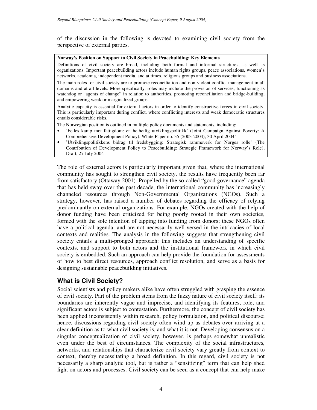of the discussion in the following is devoted to examining civil society from the perspective of external parties.

#### **Norway's Position on Support to Civil Society in Peacebuilding: Key Elements**

Definitions of civil society are broad, including both formal and informal structures, as well as organizations. Important peacebuilding actors include human rights groups, peace associations, women's networks, academia, independent media, and at times, religious groups and business associations.

The main roles for civil society are to promote reconciliation and non-violent conflict management in all domains and at all levels. More specifically, roles may include the provision of services, functioning as watchdog or "agents of change" in relation to authorities, promoting reconciliation and bridge-building, and empowering weak or marginalized groups.

Analytic capacity is essential for external actors in order to identify constructive forces in civil society. This is particularly important during conflict, where conflicting interests and weak democratic structures entails considerable risks.

The Norwegian position is outlined in multiple policy documents and statements, including:

- 'Felles kamp mot fattigdom: en helhetlig utviklingspolitikk' (Joint Campaign Against Poverty: A Comprehensive Development Policy), White Paper no. 35 (2003-2004), 30 April 2004'
- 'Utviklingspolitikkens bidrag til fredsbygging: Strategisk rammeverk for Norges rolle' (The Contribution of Development Policy to Peacebuilding: Strategic Framework for Norway's Role), Draft, 27 July 2004

The role of external actors is particularly important given that, where the international community has sought to strengthen civil society, the results have frequently been far from satisfactory (Ottaway 2001). Propelled by the so-called "good governance" agenda that has held sway over the past decade, the international community has increasingly channeled resources through Non-Governmental Organizations (NGOs). Such a strategy, however, has raised a number of debates regarding the efficacy of relying predominantly on external organizations. For example, NGOs created with the help of donor funding have been criticized for being poorly rooted in their own societies, formed with the sole intention of tapping into funding from donors; these NGOs often have a political agenda, and are not necessarily well-versed in the intricacies of local contexts and realities. The analysis in the following suggests that strengthening civil society entails a multi-pronged approach: this includes an understanding of specific contexts, and support to both actors and the institutional framework in which civil society is embedded. Such an approach can help provide the foundation for assessments of how to best direct resources, approach conflict resolution, and serve as a basis for designing sustainable peacebuilding initiatives.

#### **What is Civil Society?**

Social scientists and policy makers alike have often struggled with grasping the essence of civil society. Part of the problem stems from the fuzzy nature of civil society itself: its boundaries are inherently vague and imprecise, and identifying its features, role, and significant actors is subject to contestation. Furthermore, the concept of civil society has been applied inconsistently within research, policy formulation, and political discourse; hence, discussions regarding civil society often wind up as debates over arriving at a clear definition as to what civil society is, and what it is not. Developing consensus on a singular conceptualization of civil society, however, is perhaps somewhat unrealistic even under the best of circumstances. The complexity of the social infrastructures, networks, and relationships that characterize civil society vary greatly from context to context, thereby necessitating a broad definition. In this regard, civil society is not necessarily a sharp analytic tool, but is rather a "sensitizing" term that can help shed light on actors and processes. Civil society can be seen as a concept that can help make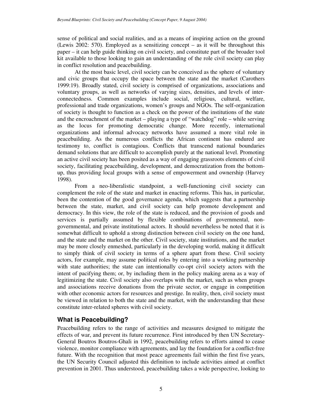sense of political and social realities, and as a means of inspiring action on the ground (Lewis 2002: 570). Employed as a sensitizing concept – as it will be throughout this paper – it can help guide thinking on civil society, and constitute part of the broader tool kit available to those looking to gain an understanding of the role civil society can play in conflict resolution and peacebuilding.

At the most basic level, civil society can be conceived as the sphere of voluntary and civic groups that occupy the space between the state and the market (Carothers 1999:19). Broadly stated, civil society is comprised of organizations, associations and voluntary groups, as well as networks of varying sizes, densities, and levels of interconnectedness. Common examples include social, religious, cultural, welfare, professional and trade organizations, women's groups and NGOs. The self-organization of society is thought to function as a check on the power of the institutions of the state and the encroachment of the market – playing a type of "watchdog" role – while serving as the locus for promoting democratic change. More recently, international organizations and informal advocacy networks have assumed a more vital role in peacebuilding. As the numerous conflicts the African continent has endured are testimony to, conflict is contagious. Conflicts that transcend national boundaries demand solutions that are difficult to accomplish purely at the national level. Promoting an active civil society has been posited as a way of engaging grassroots elements of civil society, facilitating peacebuilding, development, and democratization from the bottomup, thus providing local groups with a sense of empowerment and ownership (Harvey 1998).

From a neo-liberalistic standpoint, a well-functioning civil society can complement the role of the state and market in enacting reforms. This has, in particular, been the contention of the good governance agenda, which suggests that a partnership between the state, market, and civil society can help promote development and democracy. In this view, the role of the state is reduced, and the provision of goods and services is partially assumed by flexible combinations of governmental, nongovernmental, and private institutional actors. It should nevertheless be noted that it is somewhat difficult to uphold a strong distinction between civil society on the one hand, and the state and the market on the other. Civil society, state institutions, and the market may be more closely enmeshed, particularly in the developing world, making it difficult to simply think of civil society in terms of a sphere apart from these. Civil society actors, for example, may assume political roles by entering into a working partnership with state authorities; the state can intentionally co-opt civil society actors with the intent of pacifying them; or, by including them in the policy making arena as a way of legitimizing the state. Civil society also overlaps with the market, such as when groups and associations receive donations from the private sector, or engage in competition with other economic actors for resources and prestige. In reality, then, civil society must be viewed in relation to both the state and the market, with the understanding that these constitute inter-related spheres with civil society.

## **What is Peacebuilding?**

Peacebuilding refers to the range of activities and measures designed to mitigate the effects of war, and prevent its future recurrence. First introduced by then UN Secretary-General Boutros Boutros-Ghali in 1992, peacebuilding refers to efforts aimed to cease violence, monitor compliance with agreements, and lay the foundation for a conflict-free future. With the recognition that most peace agreements fail within the first five years, the UN Security Council adjusted this definition to include activities aimed at conflict prevention in 2001. Thus understood, peacebuilding takes a wide perspective, looking to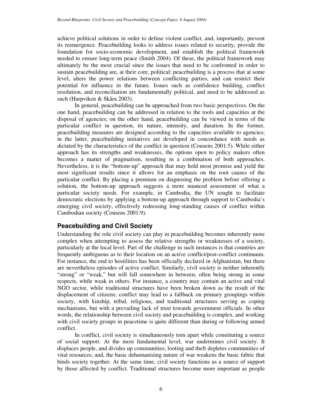achieve political solutions in order to defuse violent conflict, and, importantly, prevent its reemergence. Peacebuilding looks to address issues related to security, provide the foundation for socio-economic development, and establish the political framework needed to ensure long-term peace (Smith 2004). Of these, the political framework may ultimately be the most crucial since the issues that need to be confronted in order to sustain peacebuilding are, at their core, political; peacebuilding is a process that at some level, alters the power relations between conflicting parties, and can restrict their potential for influence in the future. Issues such as confidence building, conflict resolution, and reconciliation are fundamentally political, and need to be addressed as such (Harpviken & Skåra 2003).

In general, peacebuilding can be approached from two basic perspectives. On the one hand, peacebuilding can be addressed in relation to the tools and capacities at the disposal of agencies; on the other hand, peacebuilding can be viewed in terms of the particular conflict in question, its nature, intensity, and duration. In the former, peacebuilding measures are designed according to the capacities available to agencies; in the latter, peacebuilding initiatives are developed in concordance with needs as dictated by the characteristics of the conflict in question (Cousens 2001:5). While either approach has its strengths and weaknesses, the options open to policy makers often becomes a matter of pragmatism, resulting in a combination of both approaches. Nevertheless, it is the "bottom-up" approach that may hold most promise and yield the most significant results since it allows for an emphasis on the root causes of the particular conflict. By placing a premium on diagnosing the problem before offering a solution, the bottom-up approach suggests a more nuanced assessment of what a particular society needs. For example, in Cambodia, the UN sought to facilitate democratic elections by applying a bottom-up approach through support to Cambodia's emerging civil society, effectively redressing long-standing causes of conflict within Cambodian society (Cousens 2001:9).

## **Peacebuilding and Civil Society**

Understanding the role civil society can play in peacebuilding becomes inherently more complex when attempting to assess the relative strengths or weaknesses of a society, particularly at the local level. Part of the challenge in such instances is that countries are frequently ambiguous as to their location on an active conflict/post-conflict continuum. For instance, the end to hostilities has been officially declared in Afghanistan, but there are nevertheless episodes of active conflict. Similarly, civil society is neither inherently "strong" or "weak," but will fall somewhere in between, often being strong in some respects, while weak in others. For instance, a country may contain an active and vital NGO sector, while traditional structures have been broken down as the result of the displacement of citizens; conflict may lead to a fallback on primary groupings within society, with kinship, tribal, religious, and traditional structures serving as coping mechanisms, but with a prevailing lack of trust towards government officials. In other words, the relationship between civil society and peacebuilding is complex, and working with civil society groups in peacetime is quite different than during or following armed conflict.

In conflict, civil society is simultaneously torn apart while constituting a source of social support. At the most fundamental level, war undermines civil society. It displaces people, and divides up communities; looting and theft depletes communities of vital resources; and, the basic dehumanizing nature of war weakens the basic fabric that binds society together. At the same time, civil society functions as a source of support by those affected by conflict. Traditional structures become more important as people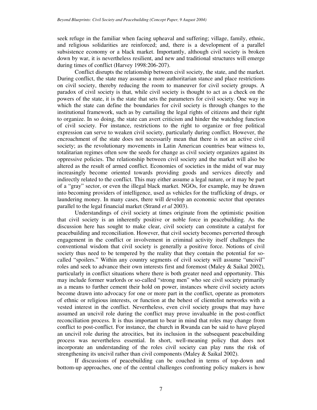seek refuge in the familiar when facing upheaval and suffering; village, family, ethnic, and religious solidarities are reinforced; and, there is a development of a parallel subsistence economy or a black market. Importantly, although civil society is broken down by war, it is nevertheless resilient, and new and traditional structures will emerge during times of conflict (Harvey 1998:206-207).

Conflict disrupts the relationship between civil society, the state, and the market. During conflict, the state may assume a more authoritarian stance and place restrictions on civil society, thereby reducing the room to maneuver for civil society groups. A paradox of civil society is that, while civil society is thought to act as a check on the powers of the state, it is the state that sets the parameters for civil society. One way in which the state can define the boundaries for civil society is through changes to the institutional framework, such as by curtailing the legal rights of citizens and their right to organize. In so doing, the state can avert criticism and hinder the watchdog function of civil society. For instance, restrictions to the right to organize or free political expression can serve to weaken civil society, particularly during conflict. However, the encroachment of the state does not necessarily mean that there is not an active civil society; as the revolutionary movements in Latin American countries bear witness to, totalitarian regimes often sow the seeds for change as civil society organizes against its oppressive policies. The relationship between civil society and the market will also be altered as the result of armed conflict. Economies of societies in the midst of war may increasingly become oriented towards providing goods and services directly and indirectly related to the conflict. This may either assume a legal nature, or it may be part of a "gray" sector, or even the illegal black market. NGOs, for example, may be drawn into becoming providers of intelligence, used as vehicles for the trafficking of drugs, or laundering money. In many cases, there will develop an economic sector that operates parallel to the legal financial market (Strand *et al* 2003).

Understandings of civil society at times originate from the optimistic position that civil society is an inherently positive or noble force in peacebuilding. As the discussion here has sought to make clear, civil society can constitute a catalyst for peacebuilding and reconciliation. However, that civil society becomes perverted through engagement in the conflict or involvement in criminal activity itself challenges the conventional wisdom that civil society is generally a positive force. Notions of civil society thus need to be tempered by the reality that they contain the potential for socalled "spoilers." Within any country segments of civil society will assume "uncivil" roles and seek to advance their own interests first and foremost (Maley & Saikal 2002), particularly in conflict situations where there is both greater need and opportunity. This may include former warlords or so-called "strong men" who see civil society primarily as a means to further cement their hold on power, instances where civil society actors become drawn into advocacy for one or more part in the conflict, operate as promoters of ethnic or religious interests, or function at the behest of clientelist networks with a vested interest in the conflict. Nevertheless, even civil society groups that may have assumed an uncivil role during the conflict may prove invaluable in the post-conflict reconciliation process. It is thus important to bear in mind that roles may change from conflict to post-conflict. For instance, the church in Rwanda can be said to have played an uncivil role during the atrocities, but its inclusion in the subsequent peacebuilding process was nevertheless essential. In short, well-meaning policy that does not incorporate an understanding of the roles civil society can play runs the risk of strengthening its uncivil rather than civil components (Maley & Saikal 2002).

If discussions of peacebuilding can be couched in terms of top-down and bottom-up approaches, one of the central challenges confronting policy makers is how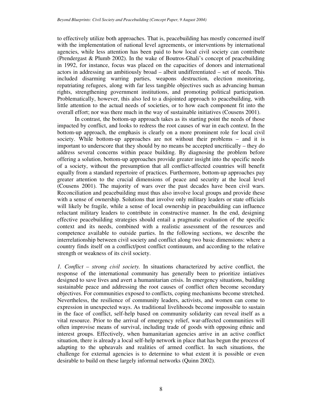to effectively utilize both approaches. That is, peacebuilding has mostly concerned itself with the implementation of national level agreements, or interventions by international agencies, while less attention has been paid to how local civil society can contribute (Prendergast & Plumb 2002). In the wake of Boutros-Ghali's concept of peacebuilding in 1992, for instance, focus was placed on the capacities of donors and international actors in addressing an ambitiously broad – albeit undifferentiated – set of needs. This included disarming warring parties, weapons destruction, election monitoring, repatriating refugees, along with far less tangible objectives such as advancing human rights, strengthening government institutions, and promoting political participation. Problematically, however, this also led to a disjointed approach to peacebuilding, with little attention to the actual needs of societies, or to how each component fit into the overall effort; nor was there much in the way of sustainable initiatives (Cousens 2001).

In contrast, the bottom-up approach takes as its starting point the needs of those impacted by conflict, and looks to redress the root causes of war in each context. In the bottom-up approach, the emphasis is clearly on a more prominent role for local civil society. While bottom-up approaches are not without their problems – and it is important to underscore that they should by no means be accepted uncritically – they do address several concerns within peace building. By diagnosing the problem before offering a solution, bottom-up approaches provide greater insight into the specific needs of a society, without the presumption that all conflict-affected countries will benefit equally from a standard repertoire of practices. Furthermore, bottom-up approaches pay greater attention to the crucial dimensions of peace and security at the local level (Cousens 2001). The majority of wars over the past decades have been civil wars. Reconciliation and peacebuilding must thus also involve local groups and provide these with a sense of ownership. Solutions that involve only military leaders or state officials will likely be fragile, while a sense of local ownership in peacebuilding can influence reluctant military leaders to contribute in constructive manner. In the end, designing effective peacebuilding strategies should entail a pragmatic evaluation of the specific context and its needs, combined with a realistic assessment of the resources and competence available to outside parties. In the following sections, we describe the interrelationship between civil society and conflict along two basic dimensions: where a country finds itself on a conflict/post conflict continuum, and according to the relative strength or weakness of its civil society.

*1. Conflict – strong civil society.* In situations characterized by active conflict, the response of the international community has generally been to prioritize intiatives designed to save lives and avert a humanitarian crisis. In emergency situations, building sustainable peace and addressing the root causes of conflict often become secondary objectives. For communities exposed to conflicts, coping mechanisms become stretched. Nevertheless, the resilience of community leaders, activists, and women can come to expression in unexpected ways. As traditional livelihoods become impossible to sustain in the face of conflict, self-help based on community solidarity can reveal itself as a vital resource. Prior to the arrival of emergency relief, war-affected communities will often improvise means of survival, including trade of goods with opposing ethnic and interest groups. Effectively, when humanitarian agencies arrive in an active conflict situation, there is already a local self-help network in place that has begun the process of adapting to the upheavals and realities of armed conflict. In such situations, the challenge for external agencies is to determine to what extent it is possible or even desirable to build on these largely informal networks (Quinn 2002).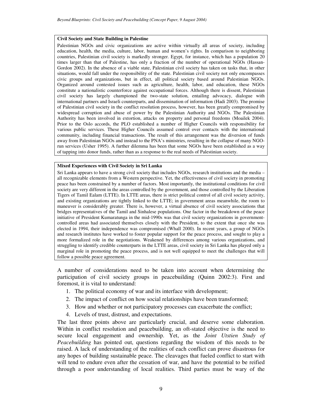#### **Civil Society and State Building in Palestine**

Palestinian NGOs and civic organizations are active within virtually all areas of society, including education, health, the media, culture, labor, human and women's rights. In comparison to neighboring countries, Palestinian civil society is markedly stronger. Egypt, for instance, which has a population 20 times larger than that of Palestine, has only a fraction of the number of operational NGOs (Hassan-Gordon 2002). In the absence of a viable state, Palestinian civil society has taken on tasks that, in other situations, would fall under the responsibility of the state. Palestinian civil society not only encompasses civic groups and organizations, but in effect, all political society based around Palestinian NGOs. Organized around contested issues such as agriculture, health, labor, and education, these NGOs constitute a nationalistic counterforce against occupational forces. Although there is dissent, Palestinian civil society has largely championed the two-state solution, entailing advocacy, dialogue with international partners and Israeli counterparts, and dissemination of information (Hadi 2003). The promise of Palestinian civil society in the conflict resolution process, however, has been greatly compromised by widespread corruption and abuse of power by the Palestinian Authority and NGOs. The Palestinian Authority has been involved in extortion, attacks on property and personal freedoms (Moailek 2004). Prior to the Oslo accords, the PLO established a number of Higher Councils with responsibility for various public services. These Higher Councils assumed control over contacts with the international community, including financial transactions. The result of this arrangement was the diversion of funds away from Palestinian NGOs and instead to the PNA's ministries, resulting in the collapse of many NGOrun services (Usher 1995). A further dilemma has been that some NGOs have been established as a way of tapping into donor funds, rather than as a response to the real needs of Palestinian society.

#### **Mixed Experiences with Civil Society in Sri Lanka**

Sri Lanka appears to have a strong civil society that includes NGOs, research institutions and the media – all recognizable elements from a Western perspective. Yet, the effectiveness of civil society in promoting peace has been constrained by a number of factors. Most importantly, the institutional conditions for civil society are very different in the areas controlled by the government, and those controlled by the Liberation Tigers of Tamil Ealam (LTTE). In LTTE areas, there is strict political control of all civil society activity, and existing organizations are tightly linked to the LTTE; in government areas meanwhile, the room to maneuver is considerably greater. There is, however, a virtual absence of civil society associations that bridges representatives of the Tamil and Sinhalese populations. One factor in the breakdown of the peace initiative of President Kumaratunga in the mid-1990s was that civil society organizations in governmentcontrolled areas had associated themselves closely with the President, to the extent that once she was elected in 1994, their independence was compromised (Whall 2000). In recent years, a group of NGOs and research institutes have worked to foster popular support for the peace process, and sought to play a more formalized role in the negotiations. Weakened by differences among various organizations, and struggling to identify credible counterparts in the LTTE areas, civil society in Sri Lanka has played only a marginal role in promoting the peace process, and is not well equipped to meet the challenges that will follow a possible peace agreement.

A number of considerations need to be taken into account when determining the participation of civil society groups in peacebuilding (Quinn 2002:3). First and foremost, it is vital to understand:

- 1. The political economy of war and its interface with development;
- 2. The impact of conflict on how social relationships have been transformed;
- 3. How and whether or not participatory processes can exacerbate the conflict;
- 4. Levels of trust, distrust, and expectations.

The last three points above are particularly crucial, and deserve some elaboration. Within in conflict resolution and peacebuilding, an oft-stated objective is the need to secure local engagement and ownership. Yet, as the *Joint Utstien Study of Peacebuilding* has pointed out, questions regarding the wisdom of this needs to be raised. A lack of understanding of the realities of each conflict can prove disastrous for any hopes of building sustainable peace. The cleavages that fueled conflict to start with will tend to endure even after the cessation of war, and have the potential to be reified through a poor understanding of local realities. Third parties must be wary of the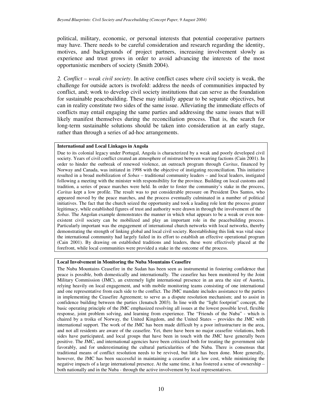political, military, economic, or personal interests that potential cooperative partners may have. There needs to be careful consideration and research regarding the identity, motives, and backgrounds of project partners, increasing involvement slowly as experience and trust grows in order to avoid advancing the interests of the most opportunistic members of society (Smith 2004).

*2. Conflict – weak civil society*. In active conflict cases where civil society is weak, the challenge for outside actors is twofold: address the needs of communities impacted by conflict, and; work to develop civil society institutions that can serve as the foundation for sustainable peacebuilding. These may initially appear to be separate objectives, but can in reality constitute two sides of the same issue. Alleviating the immediate effects of conflicts may entail engaging the same parties and addressing the same issues that will likely manifest themselves during the reconciliation process. That is, the search for long-term sustainable solutions should be taken into consideration at an early stage, rather than through a series of ad-hoc arrangements.

#### **International and Local Linkages in Angola**

Due to its colonial legacy under Portugal, Angola is characterized by a weak and poorly developed civil society. Years of civil conflict created an atmosphere of mistrust between warring factions (Cain 2001). In order to hinder the outbreak of renewed violence, an outreach program through *Caritas*, financed by Norway and Canada, was initiated in 1998 with the objective of instigating reconciliation. This initiative resulted in a broad mobilization of *Sobas* – traditional community leaders – and local leaders, instigated following a meeting with the minister with responsibility for the province. Building on local customs and tradition, a series of peace marches were held. In order to foster the community's stake in the process, *Caritas* kept a low profile. The result was to put considerable pressure on President Dos Santos, who appeared moved by the peace marches, and the process eventually culminated in a number of political initiatives. The fact that the church seized the opportunity and took a leading role lent the process greater legitimacy, while established figures of trust and authority were drawn in through the involvement of the *Sobas*. The Angolan example demonstrates the manner in which what appears to be a weak or even nonexistent civil society can be mobilized and play an important role in the peacebuilding process. Particularly important was the engagement of international church networks with local networks, thereby demonstrating the strength of linking global and local civil society. Reestablishing this link was vital since the international community had largely failed in its effort to establish an effective operational program (Cain 2001). By drawing on established traditions and leaders, these were effectively placed at the forefront, while local communities were provided a stake in the outcome of the process.

#### **Local Involvement in Monitoring the Nuba Mountains Ceasefire**

The Nuba Mountains Ceasefire in the Sudan has been seen as instrumental in fostering confidence that peace is possible, both domestically and internationally. The ceasefire has been monitored by the Joint Military Commission (JMC), an extremely light international presence in an area the size of Austria, relying heavily on local engagement, and with mobile monitoring teams consisting of one international and one representative from each side to the conflict. The JMC mandate includes assistance to the parties in implementing the Ceasefire Agreement; to serve as a dispute resolution mechanism; and to assist in confidence building between the parties (Jenatsch 2003). In line with the "light footprint" concept, the basic operating principle of the JMC emphasized resolving all issues at the lowest possible level, flexible response, joint problem solving, and learning from experience. The "Friends of the Nuba" - which is chaired by a troika of Norway, the United Kingdom, and the United States – provides the JMC with international support. The work of the JMC has been made difficult by a poor infrastructure in the area, and not all residents are aware of the ceasefire. Yet, there have been no major ceasefire violations, both sides have participated, and local groups that have been in touch with the JMC have generally been positive. The JMC, and international agencies have been criticized both for treating the government side favorably, and for underestimating the cultural particularities of the Nuba. There is consensus that traditional means of conflict resolution needs to be revived, but little has been done. More generally, however, the JMC has been successful in maintaining a ceasefire at a low cost, while minimizing the negative impacts of a large international presence. At the same time, it has fostered a sense of ownership – both nationally and in the Nuba - through the active involvement by local representatives.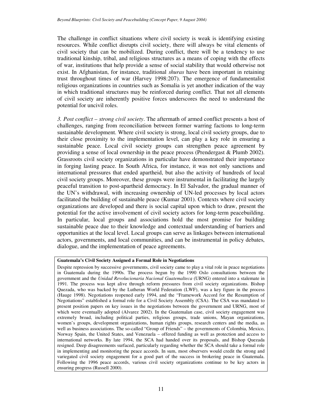The challenge in conflict situations where civil society is weak is identifying existing resources. While conflict disrupts civil society, there will always be vital elements of civil society that can be mobilized. During conflict, there will be a tendency to use traditional kinship, tribal, and religious structures as a means of coping with the effects of war, institutions that help provide a sense of social stability that would otherwise not exist. In Afghanistan, for instance, traditional *shuras* have been important in retaining trust throughout times of war (Harvey 1998:207). The emergence of fundamentalist religious organizations in countries such as Somalia is yet another indication of the way in which traditional structures may be reinforced during conflict. That not all elements of civil society are inherently positive forces underscores the need to understand the potential for uncivil roles.

*3. Post conflict – strong civil society*. The aftermath of armed conflict presents a host of challenges, ranging from reconciliation between former warring factions to long-term sustainable development. Where civil society is strong, local civil society groups, due to their close proximity to the implementation level, can play a key role in ensuring a sustainable peace. Local civil society groups can strengthen peace agreement by providing a sense of local ownership in the peace process (Prendergast & Plumb 2002). Grassroots civil society organizations in particular have demonstrated their importance in forging lasting peace. In South Africa, for instance, it was not only sanctions and international pressures that ended apartheid, but also the activity of hundreds of local civil society groups. Moreover, these groups were instrumental in facilitating the largely peaceful transition to post-apartheid democracy. In El Salvador, the gradual manner of the UN's withdrawal, with increasing ownership of UN-led processes by local actors facilitated the building of sustainable peace (Kumar 2001). Contexts where civil society organizations are developed and there is social capital upon which to draw, present the potential for the active involvement of civil society actors for long-term peacebuilding. In particular, local groups and associations hold the most promise for building sustainable peace due to their knowledge and contextual understanding of barriers and opportunities at the local level. Local groups can serve as linkages between international actors, governments, and local communities, and can be instrumental in policy debates, dialogue, and the implementation of peace agreements.

#### **Guatemala's Civil Society Assigned a Formal Role in Negotiations**

Despite repression by successive governments, civil society came to play a vital role in peace negotiations in Guatemala during the 1990s. The process begun by the 1990 Oslo consultations between the government and the *Unidad Revolucionaria Nacional Guatemalteca* (URNG) entered into a stalemate in 1991. The process was kept alive through reform pressures from civil society organizations. Bishop Quezada, who was backed by the Lutheran World Federation (LWF), was a key figure in the process (Hauge 1998). Negotiations reopened early 1994, and the "Framework Accord for the Resumption of Negotiations" established a formal role for a Civil Society Assembly (CSA). The CSA was mandated to present position papers on key issues in the negotiations between the government and URNG, most of which were eventually adopted (Alvarez 2002). In the Guatemalan case, civil society engagement was extremely broad, including political parties, religious groups, trade unions, Mayan organizations, women's groups, development organizations, human rights groups, research centers and the media, as well as business associations. The so-called "Group of Friends" – the governments of Colombia, Mexico, Norway Spain, the United States, and Venezuela – offered funding as well as protection and access to international networks. By late 1994, the SCA had handed over its proposals, and Bishop Quezada resigned. Deep disagreements surfaced, particularly regarding whether the SCA should take a formal role in implementing and monitoring the peace accords. In sum, most observers would credit the strong and variegated civil society engagement for a good part of the success in brokering peace in Guatemala. Following the 1996 peace accords, various civil society organizations continue to be key actors in ensuring progress (Russell 2000).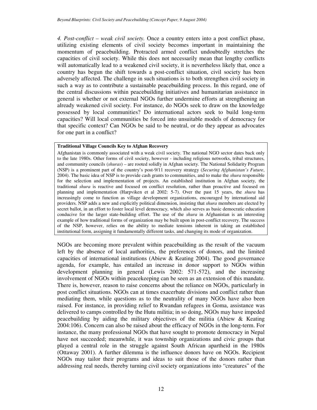*4. Post-conflict – weak civil society.* Once a country enters into a post conflict phase, utilizing existing elements of civil society becomes important in maintaining the momentum of peacebuilding. Protracted armed conflict undoubtedly stretches the capacities of civil society. While this does not necessarily mean that lengthy conflicts will automatically lead to a weakened civil society, it is nevertheless likely that, once a country has begun the shift towards a post-conflict situation, civil society has been adversely affected. The challenge in such situations is to both strengthen civil society in such a way as to contribute a sustainable peacebuilding process. In this regard, one of the central discussions within peacebuilding initiatives and humanitarian assistance in general is whether or not external NGOs further undermine efforts at strengthening an already weakened civil society. For instance, do NGOs seek to draw on the knowledge possessed by local communities? Do international actors seek to build long-term capacities? Will local communities be forced into unsuitable models of democracy for that specific context? Can NGOs be said to be neutral, or do they appear as advocates for one part in a conflict?

#### **Traditional Village Councils Key to Afghan Recovery**

Afghanistan is commonly associated with a weak civil society. The national NGO sector dates back only to the late 1980s. Other forms of civil society, however - including religious networks, tribal structures, and community councils (*shuras*) – are rooted solidly in Afghan society. The National Solidarity Program (NSP) is a prominent part of the country's post-9/11 recovery strategy (*Securing Afghanistan's Future*, 2004). The basic idea of NSP is to provide cash grants to communities, and to make the *shura* responsible for the selection and implementation of projects. An established institution in Afghan society, the traditional *shura* is reactive and focused on conflict resolution, rather than proactive and focused on planning and implementation (Harpviken et al 2002: 5-7). Over the past 15 years, the *shura* has increasingly come to function as village development organizations, encouraged by international aid providers. NSP adds a new and explicitly political dimension, insisting that *shura* members are elected by secret ballot, in an effort to foster local level democracy, which also serves as basic democratic education conducive for the larger state-building effort. The use of the *shura* in Afghanistan is an interesting example of how traditional forms of organization may be built upon in post-conflict recovery. The success of the NSP, however, relies on the ability to mediate tensions inherent in taking an established institutional form, assigning it fundamentally different tasks, and changing its mode of organization.

NGOs are becoming more prevalent within peacebuilding as the result of the vacuum left by the absence of local authorities, the preferences of donors, and the limited capacities of international institutions (Abiew & Keating 2004). The good governance agenda, for example, has entailed an increase in donor support to NGOs within development planning in general (Lewis 2002: 571-572), and the increasing involvement of NGOs within peacekeeping can be seen as an extension of this mandate. There is, however, reason to raise concerns about the reliance on NGOs, particularly in post conflict situations. NGOs can at times exacerbate divisions and conflict rather than mediating them, while questions as to the neutrality of many NGOs have also been raised. For instance, in providing relief to Rwandan refugees in Goma, assistance was delivered to camps controlled by the Hutu militia; in so doing, NGOs may have impeded peacebuilding by aiding the military objectives of the militia (Abiew & Keating 2004:106). Concern can also be raised about the efficacy of NGOs in the long-term. For instance, the many professional NGOs that have sought to promote democracy in Nepal have not succeeded; meanwhile, it was township organizations and civic groups that played a central role in the struggle against South African apartheid in the 1980s (Ottaway 2001). A further dilemma is the influence donors have on NGOs. Recipient NGOs may tailor their programs and ideas to suit those of the donors rather than addressing real needs, thereby turning civil society organizations into "creatures" of the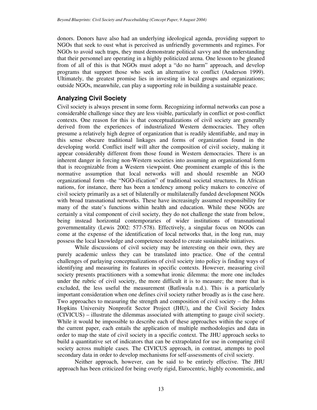donors. Donors have also had an underlying ideological agenda, providing support to NGOs that seek to oust what is perceived as unfriendly governments and regimes. For NGOs to avoid such traps, they must demonstrate political savvy and the understanding that their personnel are operating in a highly politicized arena. One lesson to be gleaned from of all of this is that NGOs must adopt a "do no harm" approach, and develop programs that support those who seek an alternative to conflict (Anderson 1999). Ultimately, the greatest promise lies in investing in local groups and organizations; outside NGOs, meanwhile, can play a supporting role in building a sustainable peace.

## **Analyzing Civil Society**

Civil society is always present in some form. Recognizing informal networks can pose a considerable challenge since they are less visible, particularly in conflict or post-conflict contexts. One reason for this is that conceptualizations of civil society are generally derived from the experiences of industrialized Western democracies. They often presume a relatively high degree of organization that is readily identifiable, and may in this sense obscure traditional linkages and forms of organization found in the developing world. Conflict itself will alter the composition of civil society, making it appear considerably different from those found in Western democracies. There is an inherent danger in forcing non-Western societies into assuming an organizational form that is recognizable from a Western viewpoint. One prominent example of this is the normative assumption that local networks will and should resemble an NGO organizational form –the "NGO-ification" of traditional societal structures. In African nations, for instance, there has been a tendency among policy makers to conceive of civil society primarily as a set of bilaterally or multilaterally funded development NGOs with broad transnational networks. These have increasingly assumed responsibility for many of the state's functions within health and education. While these NGOs are certainly a vital component of civil society, they do not challenge the state from below, being instead horizontal contemporaries of wider institutions of transnational governmentality (Lewis 2002: 577-578). Effectively, a singular focus on NGOs can come at the expense of the identification of local networks that, in the long run, may possess the local knowledge and competence needed to create sustainable initiatives.

While discussions of civil society may be interesting on their own, they are purely academic unless they can be translated into practice. One of the central challenges of parlaying conceptualizations of civil society into policy is finding ways of identifying and measuring its features in specific contexts. However, measuring civil society presents practitioners with a somewhat ironic dilemma: the more one includes under the rubric of civil society, the more difficult it is to measure; the more that is excluded, the less useful the measurement (Batliwala n.d.). This is a particularly important consideration when one defines civil society rather broadly as is the case here. Two approaches to measuring the strength and composition of civil society – the Johns Hopkins University Nonprofit Sector Project (JHU), and the Civil Society Index (CIVICUS) – illustrate the dilemmas associated with attempting to gauge civil society. While it would be impossible to describe each of these approaches within the scope of the current paper, each entails the application of multiple methodologies and data in order to map the state of civil society in a specific context. The JHU approach seeks to build a quantitative set of indicators that can be extrapolated for use in comparing civil society across multiple cases. The CIVICUS approach, in contrast, attempts to pool secondary data in order to develop mechanisms for self-assessments of civil society.

Neither approach, however, can be said to be entirely effective. The JHU approach has been criticized for being overly rigid, Eurocentric, highly economistic, and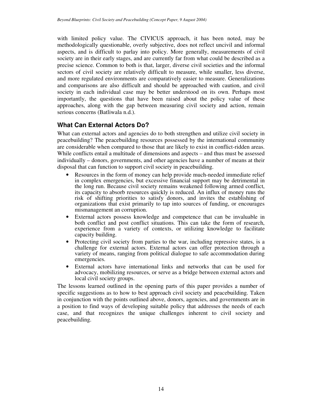with limited policy value. The CIVICUS approach, it has been noted, may be methodologically questionable, overly subjective, does not reflect uncivil and informal aspects, and is difficult to parlay into policy. More generally, measurements of civil society are in their early stages, and are currently far from what could be described as a precise science. Common to both is that, larger, diverse civil societies and the informal sectors of civil society are relatively difficult to measure, while smaller, less diverse, and more regulated environments are comparatively easier to measure. Generalizations and comparisons are also difficult and should be approached with caution, and civil society in each individual case may be better understood on its own. Perhaps most importantly, the questions that have been raised about the policy value of these approaches, along with the gap between measuring civil society and action, remain serious concerns (Batliwala n.d.).

## **What Can External Actors Do?**

What can external actors and agencies do to both strengthen and utilize civil society in peacebuilding? The peacebuilding resources possessed by the international community are considerable when compared to those that are likely to exist in conflict-ridden areas. While conflicts entail a multitude of dimensions and aspects – and thus must be assessed individually – donors, governments, and other agencies have a number of means at their disposal that can function to support civil society in peacebuilding.

- Resources in the form of money can help provide much-needed immediate relief in complex emergencies, but excessive financial support may be detrimental in the long run. Because civil society remains weakened following armed conflict, its capacity to absorb resources quickly is reduced. An influx of money runs the risk of shifting priorities to satisfy donors, and invites the establishing of organizations that exist primarily to tap into sources of funding, or encourages mismanagement an corruption.
- External actors possess knowledge and competence that can be invaluable in both conflict and post conflict situations. This can take the form of research, experience from a variety of contexts, or utilizing knowledge to facilitate capacity building.
- Protecting civil society from parties to the war, including repressive states, is a challenge for external actors. External actors can offer protection through a variety of means, ranging from political dialogue to safe accommodation during emergencies.
- External actors have international links and networks that can be used for advocacy, mobilizing resources, or serve as a bridge between external actors and local civil society groups.

The lessons learned outlined in the opening parts of this paper provides a number of specific suggestions as to how to best approach civil society and peacebuilding. Taken in conjunction with the points outlined above, donors, agencies, and governments are in a position to find ways of developing suitable policy that addresses the needs of each case, and that recognizes the unique challenges inherent to civil society and peacebuilding.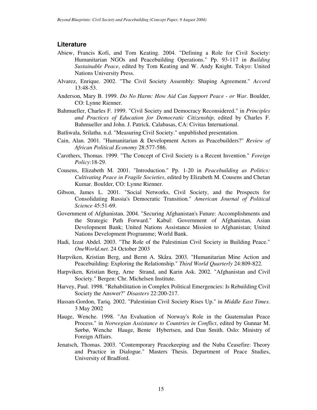#### **Literature**

- Abiew, Francis Kofi, and Tom Keating. 2004. "Defining a Role for Civil Society: Humanitarian NGOs and Peacebuilding Operations." Pp. 93-117 in *Building Sustainable Peace*, edited by Tom Keating and W. Andy Knight. Tokyo: United Nations University Press.
- Alvarez, Enrique. 2002. "The Civil Society Assembly: Shaping Agreement." *Accord* 13:48-53.
- Anderson, Mary B. 1999. *Do No Harm: How Aid Can Support Peace - or War*. Boulder, CO: Lynne Rienner.
- Bahmueller, Charles F. 1999. "Civil Society and Democracy Reconsidered." in *Principles and Practices of Education for Democratic Citizenship*, edited by Charles F. Bahmueller and John. J. Patrick. Calabasas, CA: Civitas International.
- Batliwala, Srilatha. n.d. "Measuring Civil Society." unpublished presentation.
- Cain, Alan. 2001. "Humanitarian & Development Actors as Peacebuilders?" *Review of African Political Economy* 28:577-586.
- Carothers, Thomas. 1999. "The Concept of Civil Society is a Recent Invention." *Foreign Policy*:18-29.
- Cousens, Elizabeth M. 2001. "Introduction." Pp. 1-20 in *Peacebuilding as Politics: Cultivating Peace in Fragile Societies*, edited by Elizabeth M. Cousens and Chetan Kumar. Boulder, CO: Lynne Rienner.
- Gibson, James L. 2001. "Social Networks, Civil Society, and the Prospects for Consolidating Russia's Democratic Transition." *American Journal of Political Science* 45:51-69.
- Government of Afghanistan. 2004. "Securing Afghanistan's Future: Accomplishments and the Strategic Path Forward." Kabul: Government of Afghanistan, Asian Development Bank; United Nations Assistance Mission to Afghanistan; United Nations Development Programme; World Bank.
- Hadi, Izzat Abdel. 2003. "The Role of the Palestinian Civil Society in Building Peace." *OneWorld.net*. 24 October 2003
- Harpviken, Kristian Berg, and Bernt A. Skåra. 2003. "Humanitarian Mine Action and Peacebuilding: Exploring the Relationship." *Third World Quarterly* 24:809-822.
- Harpviken, Kristian Berg, Arne Strand, and Karin Ask. 2002. "Afghanistan and Civil Society." Bergen: Chr. Michelsen Institute.
- Harvey, Paul. 1998. "Rehabilitation in Complex Political Emergencies: Is Rebuilding Civil Society the Answer?" *Disasters* 22:200-217.
- Hassan-Gordon, Tariq. 2002. "Palestinian Civil Society Rises Up." in *Middle East Times*. 3 May 2002
- Hauge, Wenche. 1998. "An Evaluation of Norway's Role in the Guatemalan Peace Process." in *Norwegian Assistance to Countries in Conflict*, edited by Gunnar M. Sørbø, Wenche Hauge, Bente Hybertsen, and Dan Smith. Oslo: Ministry of Foreign Affairs.
- Jenatsch, Thomas. 2003. "Contemporary Peacekeeping and the Nuba Ceasefire: Theory and Practice in Dialogue." Masters Thesis. Department of Peace Studies, University of Bradford.